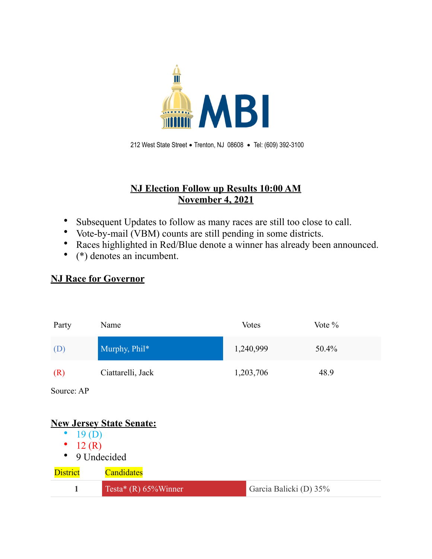

 212 West State Street • Trenton, NJ 08608 • Tel: (609) 392-3100

## **NJ Election Follow up Results 10:00 AM November 4, 2021**

- Subsequent Updates to follow as many races are still too close to call.
- Vote-by-mail (VBM) counts are still pending in some districts.
- Races highlighted in Red/Blue denote a winner has already been announced.
- (\*) denotes an incumbent.

## **NJ Race for Governor**

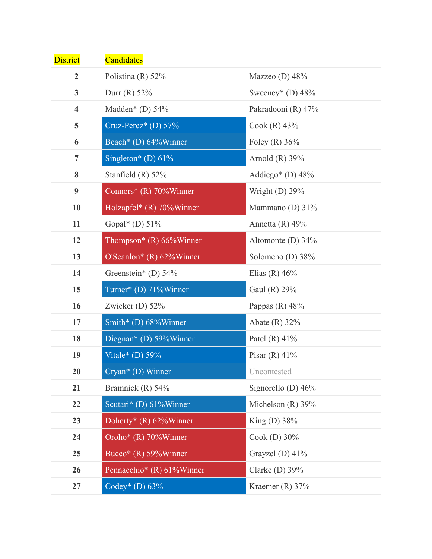| <b>District</b>         | Candidates                 |                       |
|-------------------------|----------------------------|-----------------------|
| $\overline{2}$          | Polistina (R) $52\%$       | Mazzeo (D) $48%$      |
| $\mathbf{3}$            | Durr (R) $52\%$            | Sweeney* (D) $48\%$   |
| $\overline{\mathbf{4}}$ | Madden* (D) $54\%$         | Pakradooni (R) 47%    |
| 5                       | Cruz-Perez* (D) $57\%$     | Cook $(R)$ 43%        |
| 6                       | Beach* (D) 64%Winner       | Foley (R) $36\%$      |
| $\overline{7}$          | Singleton* (D) $61\%$      | Arnold $(R)$ 39%      |
| 8                       | Stanfield $(R)$ 52%        | Addiego* (D) $48\%$   |
| $\boldsymbol{9}$        | Connors* $(R)$ 70% Winner  | Wright (D) $29\%$     |
| 10                      | Holzapfel* (R) 70%Winner   | Mammano (D) $31\%$    |
| 11                      | Gopal* (D) $51\%$          | Annetta $(R)$ 49%     |
| 12                      | Thompson* $(R)$ 66%Winner  | Altomonte (D) $34\%$  |
| 13                      | O'Scanlon* $(R)$ 62%Winner | Solomeno (D) 38%      |
| 14                      | Greenstein* (D) $54\%$     | Elias (R) $46%$       |
| 15                      | Turner* (D) 71%Winner      | Gaul (R) 29%          |
| 16                      | Zwicker (D) $52\%$         | Pappas $(R)$ 48%      |
| 17                      | Smith* (D) 68%Winner       | Abate $(R)$ 32%       |
| 18                      | Diegnan* (D) 59%Winner     | Patel $(R)$ 41%       |
| 19                      | Vitale* (D) $59\%$         | Pisar $(R)$ 41%       |
| 20                      | $Cryan*(D)$ Winner         | Uncontested           |
| 21                      | Bramnick (R) 54%           | Signorello (D) $46\%$ |
| 22                      | Scutari* (D) 61%Winner     | Michelson $(R)$ 39%   |
| 23                      | Doherty* $(R)$ 62%Winner   | King (D) $38\%$       |
| 24                      | Oroho* $(R)$ 70% Winner    | Cook (D) $30\%$       |
| 25                      | Bucco* $(R)$ 59% Winner    | Grayzel (D) $41\%$    |
| 26                      | Pennacchio* (R) 61%Winner  | Clarke $(D)$ 39%      |
| 27                      | Codey* (D) $63\%$          | Kraemer (R) $37%$     |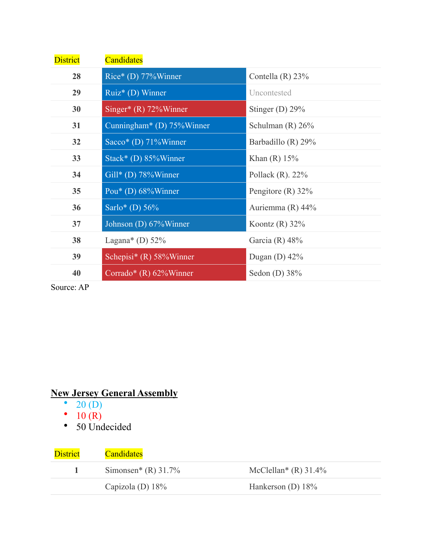| <b>District</b> | <b>Candidates</b>                 |                     |
|-----------------|-----------------------------------|---------------------|
| 28              | Rice* (D) 77%Winner               | Contella $(R)$ 23%  |
| 29              | Ruiz* (D) Winner                  | Uncontested         |
| 30              | Singer* $(R)$ 72% Winner          | Stinger (D) $29\%$  |
| 31              | Cunningham* (D) $75\%$ Winner     | Schulman $(R)$ 26%  |
| 32              | Sacco <sup>*</sup> (D) 71% Winner | Barbadillo (R) 29%  |
| 33              | $Stack*$ (D) 85% Winner           | Khan $(R)$ 15%      |
| 34              | $Gill^*(D) 78\%$ Winner           | Pollack $(R)$ . 22% |
| 35              | Pou* (D) $68\%$ Winner            | Pengitore $(R)$ 32% |
| 36              | Sarlo* (D) $56%$                  | Auriemma $(R)$ 44%  |
| 37              | Johnson (D) 67% Winner            | Koontz $(R)$ 32%    |
| 38              | Lagana* (D) $52\%$                | Garcia (R) $48%$    |
| 39              | Schepisi* (R) $58\%$ Winner       | Dugan (D) $42\%$    |
| 40              | Corrado* $(R)$ 62% Winner         | Sedon (D) $38%$     |

Source: AP

## **New Jersey General Assembly**

- $20(D)$
- $10(R)$
- 50 Undecided

| <b>District</b> | <b>Candidates</b>     |                                     |
|-----------------|-----------------------|-------------------------------------|
|                 | Simonsen* (R) $31.7%$ | McClellan <sup>*</sup> (R) $31.4\%$ |
|                 | Capizola (D) $18\%$   | Hankerson (D) $18\%$                |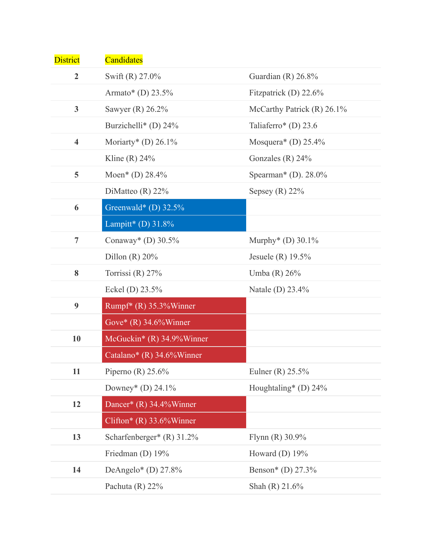| <b>District</b>         | Candidates                   |                                  |
|-------------------------|------------------------------|----------------------------------|
| $\overline{2}$          | Swift (R) 27.0%              | Guardian $(R)$ 26.8%             |
|                         | Armato* (D) $23.5%$          | Fitzpatrick (D) $22.6\%$         |
| 3 <sup>1</sup>          | Sawyer $(R)$ 26.2%           | McCarthy Patrick $(R)$ 26.1%     |
|                         | Burzichelli* (D) $24\%$      | Taliaferro* (D) $23.6$           |
| $\overline{\mathbf{4}}$ | Moriarty* (D) $26.1\%$       | Mosquera* (D) $25.4\%$           |
|                         | Kline $(R)$ 24%              | Gonzales $(R)$ 24%               |
| 5                       | Moen* (D) $28.4\%$           | Spearman* (D). $28.0\%$          |
|                         | DiMatteo $(R)$ 22%           | Sepsey $(R)$ 22%                 |
| 6                       | Greenwald* (D) $32.5\%$      |                                  |
|                         | Lampitt* (D) $31.8\%$        |                                  |
| $\overline{7}$          | Conaway* (D) $30.5\%$        | Murphy <sup>*</sup> (D) $30.1\%$ |
|                         | Dillon $(R)$ 20%             | Jesuele (R) $19.5\%$             |
| 8                       | Torrissi (R) $27%$           | Umba (R) 26%                     |
|                         | Eckel (D) $23.5%$            | Natale (D) 23.4%                 |
| $\boldsymbol{9}$        | Rumpf* $(R)$ 35.3% Winner    |                                  |
|                         | Gove* $(R)$ 34.6% Winner     |                                  |
| 10                      | McGuckin* $(R)$ 34.9% Winner |                                  |
|                         | Catalano* $(R)$ 34.6% Winner |                                  |
| 11                      | Piperno (R) $25.6\%$         | Eulner (R) $25.5\%$              |
|                         | Downey* (D) $24.1\%$         | Houghtaling* (D) $24\%$          |
| 12                      | Dancer* (R) 34.4%Winner      |                                  |
|                         | Clifton* (R) $33.6\%$ Winner |                                  |
| 13                      | Scharfenberger* $(R)$ 31.2%  | Flynn $(R)$ 30.9%                |
|                         | Friedman (D) 19%             | Howard (D) 19%                   |
| 14                      | DeAngelo* (D) $27.8\%$       | Benson* (D) 27.3%                |
|                         | Pachuta $(R)$ 22%            | Shah $(R)$ 21.6%                 |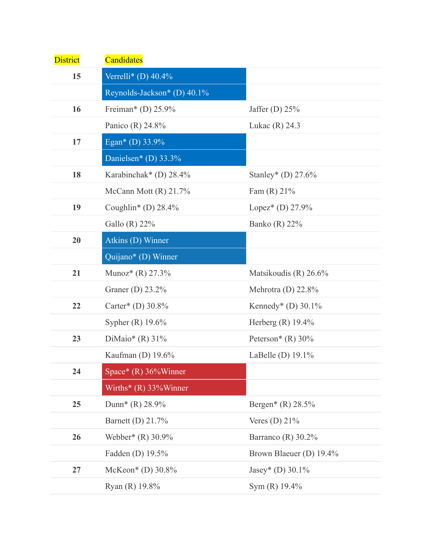| <b>District</b> | Candidates                     |                         |
|-----------------|--------------------------------|-------------------------|
| 15              | Verrelli* (D) $40.4\%$         |                         |
|                 | Reynolds-Jackson* (D) 40.1%    |                         |
| 16              | Freiman* (D) $25.9\%$          | Jaffer (D) $25%$        |
|                 | Panico (R) 24.8%               | Lukac $(R)$ 24.3        |
| 17              | Egan* (D) 33.9%                |                         |
|                 | Danielsen* (D) 33.3%           |                         |
| 18              | Karabinchak* (D) $28.4\%$      | Stanley* (D) $27.6\%$   |
|                 | McCann Mott $(R)$ 21.7%        | Fam $(R)$ 21%           |
| 19              | Coughlin* (D) $28.4\%$         | Lopez* (D) $27.9\%$     |
|                 | Gallo (R) $22\%$               | Banko (R) $22\%$        |
| 20              | Atkins (D) Winner              |                         |
|                 | Quijano* (D) Winner            |                         |
| 21              | Munoz* $(R)$ 27.3%             | Matsikoudis (R) 26.6%   |
|                 | Graner (D) $23.2\%$            | Mehrotra (D) $22.8\%$   |
| 22              | Carter* (D) $30.8\%$           | Kennedy* (D) $30.1\%$   |
|                 | Sypher $(R)$ 19.6%             | Herberg $(R)$ 19.4%     |
| 23              | DiMaio* $(R)$ 31%              | Peterson* $(R)$ 30%     |
|                 | Kaufman (D) $19.6\%$           | LaBelle (D) 19.1%       |
| 24              | Space* $(R)$ 36% Winner        |                         |
|                 | Wirths* $(R)$ 33% Winner       |                         |
| 25              | Dunn <sup>*</sup> (R) $28.9\%$ | Bergen* (R) $28.5%$     |
|                 | Barnett (D) 21.7%              | Veres (D) $21\%$        |
| 26              | Webber* (R) 30.9%              | Barranco (R) 30.2%      |
|                 | Fadden (D) 19.5%               | Brown Blaeuer (D) 19.4% |
| 27              | McKeon* (D) $30.8\%$           | Jasey* (D) $30.1\%$     |
|                 | Ryan (R) 19.8%                 | Sym (R) 19.4%           |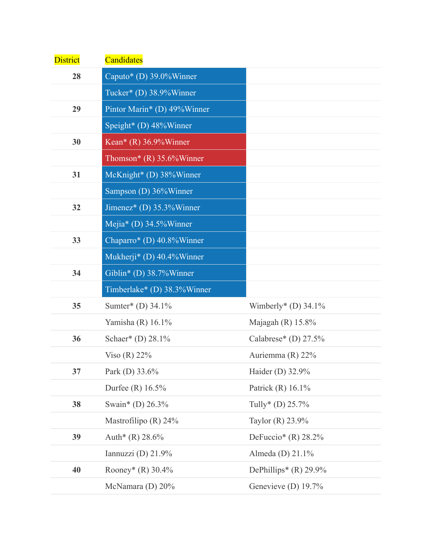| <b>District</b> | Candidates                    |                         |
|-----------------|-------------------------------|-------------------------|
| 28              | Caputo* (D) $39.0\%$ Winner   |                         |
|                 | Tucker* (D) 38.9%Winner       |                         |
| 29              | Pintor Marin* (D) 49%Winner   |                         |
|                 | Speight* (D) 48%Winner        |                         |
| 30              | Kean* $(R)$ 36.9% Winner      |                         |
|                 | Thomson* $(R)$ 35.6% Winner   |                         |
| 31              | McKnight* (D) 38%Winner       |                         |
|                 | Sampson (D) 36%Winner         |                         |
| 32              | Jimenez* (D) $35.3\%$ Winner  |                         |
|                 | Mejia* (D) $34.5\%$ Winner    |                         |
| 33              | Chaparro* (D) $40.8\%$ Winner |                         |
|                 | Mukherji* (D) 40.4%Winner     |                         |
| 34              | Giblin* (D) 38.7%Winner       |                         |
|                 | Timberlake* (D) 38.3%Winner   |                         |
| 35              | Sumter* (D) 34.1%             | Wimberly* (D) $34.1\%$  |
|                 | Yamisha (R) 16.1%             | Majagah (R) $15.8\%$    |
| 36              | Schaer* (D) 28.1%             | Calabrese* (D) $27.5%$  |
|                 | Viso $(R)$ 22%                | Auriemma $(R)$ 22%      |
| 37              | Park (D) 33.6%                | Haider (D) 32.9%        |
|                 | Durfee (R) $16.5%$            | Patrick $(R)$ 16.1%     |
| 38              | Swain* (D) 26.3%              | Tully* (D) $25.7%$      |
|                 | Mastrofilipo (R) $24\%$       | Taylor $(R)$ 23.9%      |
| 39              | Auth* $(R)$ 28.6%             | DeFuccio* (R) $28.2\%$  |
|                 | Iannuzzi (D) 21.9%            | Almeda (D) 21.1%        |
| 40              | Rooney* (R) 30.4%             | DePhillips* $(R)$ 29.9% |
|                 | McNamara (D) $20\%$           | Genevieve (D) $19.7\%$  |